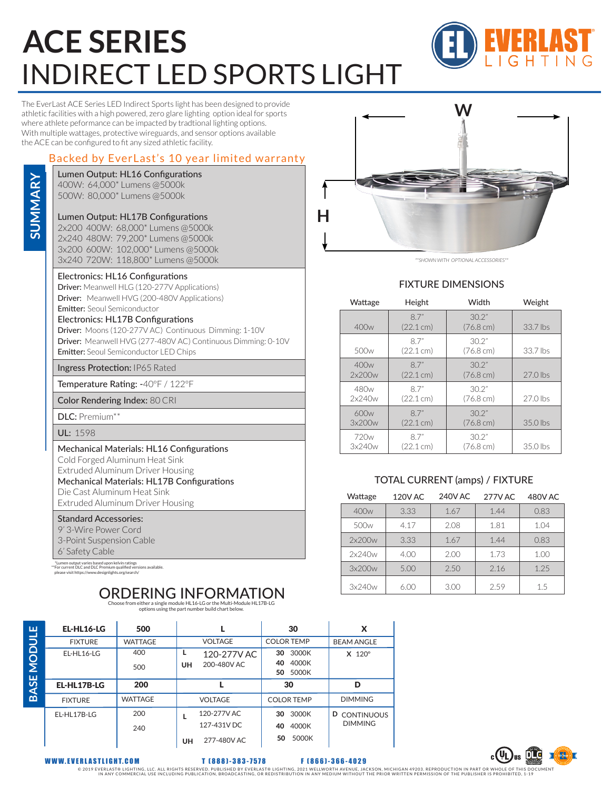# **ACE SERIES** INDIRECT LED SPORTS LIGHT



The EverLast ACE Series LED Indirect Sports light has been designed to provide athletic facilities with a high powered, zero glare lighting option ideal for sports where athlete peformance can be impacted by tradtional lighting options. With multiple wattages, protective wireguards, and sensor options available the ACE can be configured to fit any sized athletic facility.

## Backed by EverLast's 10 year limited warranty

### Lumen Output: HL16 Configurations

400W: 64,000\* Lumens @5000k 500W: 80,000\* Lumens @5000k

**SUMMARY**

SUMMARY

## Lumen Output: HL17B Configurations

2x200 400W: 68,000\* Lumens @5000k 2x240 480W: 79,200\* Lumens @5000k 3x200 600W: 102,000\* Lumens @5000k 3x240 720W: 118,800\* Lumens @5000k

#### Electronics: HL16 Configurations

Driver: Meanwell HLG (120-277V Applications) Driver: Meanwell HVG (200-480V Applications) Emitter: Seoul Semiconductor

### Electronics: HL17B Configurations

Driver: Moons (120-277V AC) Continuous Dimming: 1-10V Driver: Meanwell HVG (277-480V AC) Continuous Dimming: 0-10V Emitter: Seoul Semiconductor LED Chips

Ingress Protection: IP65 Rated

Temperature Rating: -40ºF / 122ºF

Color Rendering Index: 80 CRI

DLC: Premium\*\*

UL: 1598

Mechanical Materials: HL16 Configurations Cold Forged Aluminum Heat Sink Extruded Aluminum Driver Housing Mechanical Materials: HL17B Configurations

Die Cast Aluminum Heat Sink

Extruded Aluminum Driver Housing

## Standard Accessories:

9' 3-Wire Power Cord 3-Point Suspension Cable 6' Safety Cable

٠, \*Lumen output varies based upon kelvin ratings \*\*For current DLC and DLC Premium qualified versions available. please visit https://www.designlights.org/search/

#### ORDERING INFORMATION THE CHOOSE from either a single module HL16-LG or the Multi-Module HL17B-LG

options using the part number build chart below.

| EL-HL16-LG     | 500            |                                                 | 30                                        | x                                        |
|----------------|----------------|-------------------------------------------------|-------------------------------------------|------------------------------------------|
| <b>FIXTURE</b> | <b>WATTAGE</b> | <b>VOLTAGE</b>                                  | <b>COLOR TEMP</b>                         | <b>BEAM ANGLE</b>                        |
| EL-HL16-LG     | 400<br>500     | 120-277V AC<br>200-480V AC<br><b>UH</b>         | 3000K<br>30<br>4000K<br>40<br>5000K<br>50 | $X$ 120 $^{\circ}$                       |
| EL-HL17B-LG    | 200            |                                                 | 30                                        | D                                        |
|                |                |                                                 |                                           |                                          |
| <b>FIXTURE</b> | <b>WATTAGE</b> | <b>VOLTAGE</b>                                  | <b>COLOR TEMP</b>                         | <b>DIMMING</b>                           |
| EL-HL17B-LG    | 200<br>240     | 120-277V AC<br>127-431V DC<br>277-480V AC<br>UH | 3000K<br>30<br>4000K<br>40<br>5000K<br>50 | D<br><b>CONTINUOUS</b><br><b>DIMMING</b> |



*\*\*SHOWN WITH OPTIONAL ACCESSORIES\*\**

## FIXTURE DIMENSIONS

| Wattage          | Height              | Width                        | Weight     |  |
|------------------|---------------------|------------------------------|------------|--|
| 400w             | 87"<br>(22.1cm)     | 30.2"<br>$(76.8 \text{ cm})$ | 33.7 lbs   |  |
| 500 <sub>w</sub> | 87"<br>(22.1 cm)    | 30.2"<br>$(76.8 \text{ cm})$ | 33.7 lbs   |  |
| 400w             | 87"                 | 30.2"                        | 27.0 lbs   |  |
| 2x200w           | $(22.1 \text{ cm})$ | $(76.8 \text{ cm})$          |            |  |
| 480w             | 87"                 | 30.2"                        | $27.0$ lbs |  |
| 2x240w           | $(22.1 \text{ cm})$ | $(76.8 \text{ cm})$          |            |  |
| 600w             | 87"                 | 30.2"                        | 35.0 lbs   |  |
| 3x200w           | (22.1cm)            | $(76.8 \text{ cm})$          |            |  |
| 720 <sub>w</sub> | 87"                 | 30.2"                        | 35.0 lbs   |  |
| 3x240w           | (22.1 cm)           | $(76.8 \text{ cm})$          |            |  |

## TOTAL CURRENT (amps) / FIXTURE

| Wattage          | 120V AC | <b>240V AC</b> | <b>277V AC</b> | 480V AC |
|------------------|---------|----------------|----------------|---------|
| 400w             | 3.33    | 1.67           | 1.44           | 0.83    |
| 500 <sub>w</sub> | 4.17    | 2.08           | 1.81           | 1.04    |
| 2x200w           | 3.33    | 1.67           | 1.44           | 0.83    |
| 2x240w           | 4.00    | 2.00           | 1.73           | 1.00    |
| 3x200w           | 5.00    | 2.50           | 2.16           | 1.25    |
| 3x240w           | 6.00    | 3.00           | 2.59           | 1.5     |

**BASE MODULE BASE MODULE**

WWW.EVERL ASTLIGHT.COM T (888)-383-7578 F (866)-366-4029

© 2019 EVERLAST® LIGHTING, LLC. ALL RIGHTS RESERVED. PUBLISHED BY EVERLAST® LIGHTING, 2021 WELLWORTH AVENUE NA<br>IN ANY COMMERCIAL USE INCLUDING PUBLICATION, BROADCASTING, OR REDISTRIBUTION IN ANY MEDIUM WITHOUT THE PRIOR WR